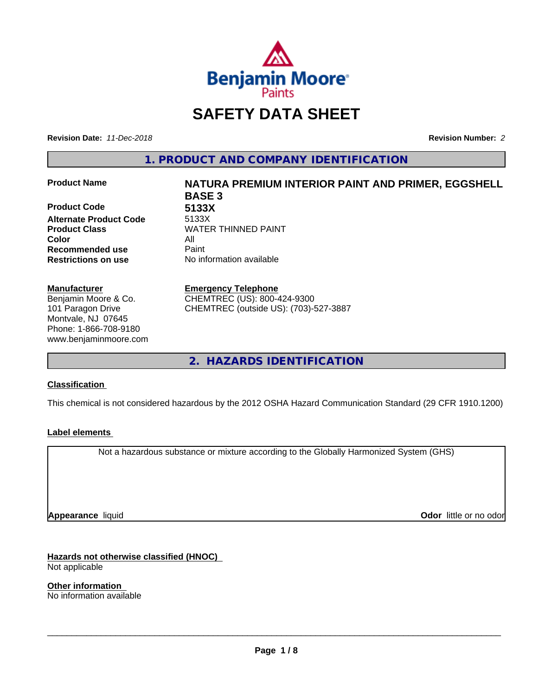

# **SAFETY DATA SHEET**

**Revision Date:** *11-Dec-2018* **Revision Number:** *2*

**1. PRODUCT AND COMPANY IDENTIFICATION**

**Product Code 5133X Alternate Product Code** 5133X **Color** All **Recommended use** Paint **Restrictions on use** No information available

#### **Manufacturer**

Benjamin Moore & Co. 101 Paragon Drive Montvale, NJ 07645 Phone: 1-866-708-9180 www.benjaminmoore.com

# **Product Name NATURA PREMIUM INTERIOR PAINT AND PRIMER, EGGSHELL BASE 3**

**Product Class WATER THINNED PAINT** 

#### **Emergency Telephone**

CHEMTREC (US): 800-424-9300 CHEMTREC (outside US): (703)-527-3887

**2. HAZARDS IDENTIFICATION**

### **Classification**

This chemical is not considered hazardous by the 2012 OSHA Hazard Communication Standard (29 CFR 1910.1200)

### **Label elements**

Not a hazardous substance or mixture according to the Globally Harmonized System (GHS)

**Appearance** liquid

**Odor** little or no odor

**Hazards not otherwise classified (HNOC)** Not applicable

**Other information** No information available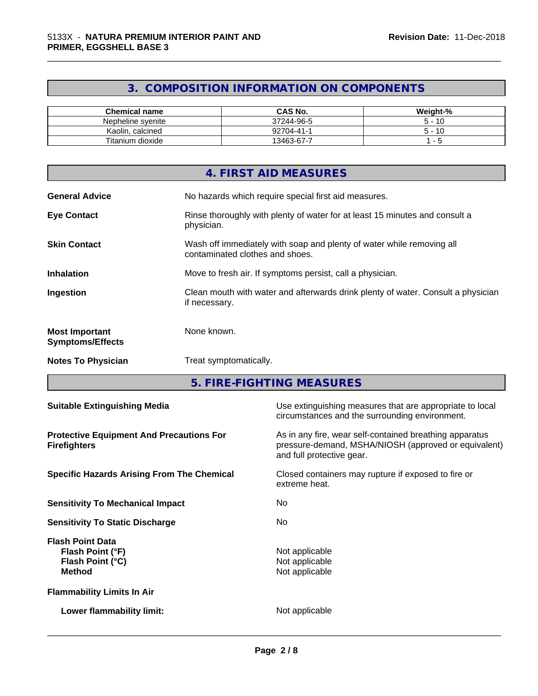# **3. COMPOSITION INFORMATION ON COMPONENTS**

\_\_\_\_\_\_\_\_\_\_\_\_\_\_\_\_\_\_\_\_\_\_\_\_\_\_\_\_\_\_\_\_\_\_\_\_\_\_\_\_\_\_\_\_\_\_\_\_\_\_\_\_\_\_\_\_\_\_\_\_\_\_\_\_\_\_\_\_\_\_\_\_\_\_\_\_\_\_\_\_\_\_\_\_\_\_\_\_\_\_\_\_\_

| <b>Chemical name</b>  | <b>CAS No.</b> | Weight-% |
|-----------------------|----------------|----------|
| Nepheline svenite     | 37244-96-5     | -10<br>∽ |
| Kaolin, calcined      | 92704-41-1     | -10<br>∽ |
| Titanium u<br>dioxide | 13463-67-7     |          |

|                                                  | 4. FIRST AID MEASURES                                                                                    |
|--------------------------------------------------|----------------------------------------------------------------------------------------------------------|
| <b>General Advice</b>                            | No hazards which require special first aid measures.                                                     |
| <b>Eye Contact</b>                               | Rinse thoroughly with plenty of water for at least 15 minutes and consult a<br>physician.                |
| <b>Skin Contact</b>                              | Wash off immediately with soap and plenty of water while removing all<br>contaminated clothes and shoes. |
| <b>Inhalation</b>                                | Move to fresh air. If symptoms persist, call a physician.                                                |
| Ingestion                                        | Clean mouth with water and afterwards drink plenty of water. Consult a physician<br>if necessary.        |
| <b>Most Important</b><br><b>Symptoms/Effects</b> | None known.                                                                                              |
| <b>Notes To Physician</b>                        | Treat symptomatically.                                                                                   |

**5. FIRE-FIGHTING MEASURES**

| <b>Suitable Extinguishing Media</b>                                              | Use extinguishing measures that are appropriate to local<br>circumstances and the surrounding environment.                                   |
|----------------------------------------------------------------------------------|----------------------------------------------------------------------------------------------------------------------------------------------|
| <b>Protective Equipment And Precautions For</b><br><b>Firefighters</b>           | As in any fire, wear self-contained breathing apparatus<br>pressure-demand, MSHA/NIOSH (approved or equivalent)<br>and full protective gear. |
| <b>Specific Hazards Arising From The Chemical</b>                                | Closed containers may rupture if exposed to fire or<br>extreme heat.                                                                         |
| <b>Sensitivity To Mechanical Impact</b>                                          | No.                                                                                                                                          |
| <b>Sensitivity To Static Discharge</b>                                           | No.                                                                                                                                          |
| <b>Flash Point Data</b><br>Flash Point (°F)<br>Flash Point (°C)<br><b>Method</b> | Not applicable<br>Not applicable<br>Not applicable                                                                                           |
| <b>Flammability Limits In Air</b>                                                |                                                                                                                                              |
| Lower flammability limit:                                                        | Not applicable                                                                                                                               |
|                                                                                  |                                                                                                                                              |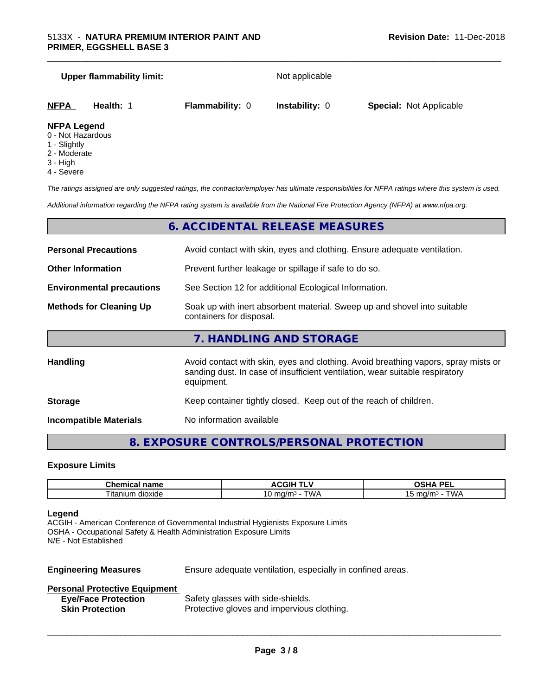# **Upper flammability limit:** Not applicable

| <b>NFPA</b>                | Health: 1 | <b>Flammability: 0</b> | <b>Instability: 0</b> | <b>Special: Not Applicable</b> |  |
|----------------------------|-----------|------------------------|-----------------------|--------------------------------|--|
| <b>ALCOVATIVE CONTRACT</b> |           |                        |                       |                                |  |

\_\_\_\_\_\_\_\_\_\_\_\_\_\_\_\_\_\_\_\_\_\_\_\_\_\_\_\_\_\_\_\_\_\_\_\_\_\_\_\_\_\_\_\_\_\_\_\_\_\_\_\_\_\_\_\_\_\_\_\_\_\_\_\_\_\_\_\_\_\_\_\_\_\_\_\_\_\_\_\_\_\_\_\_\_\_\_\_\_\_\_\_\_

#### **NFPA Legend**

- 0 Not Hazardous
- 1 Slightly
- 2 Moderate
- 3 High
- 4 Severe

*The ratings assigned are only suggested ratings, the contractor/employer has ultimate responsibilities for NFPA ratings where this system is used.*

*Additional information regarding the NFPA rating system is available from the National Fire Protection Agency (NFPA) at www.nfpa.org.*

# **6. ACCIDENTAL RELEASE MEASURES**

| <b>Personal Precautions</b>      | Avoid contact with skin, eyes and clothing. Ensure adequate ventilation.                                                                                                         |
|----------------------------------|----------------------------------------------------------------------------------------------------------------------------------------------------------------------------------|
| <b>Other Information</b>         | Prevent further leakage or spillage if safe to do so.                                                                                                                            |
| <b>Environmental precautions</b> | See Section 12 for additional Ecological Information.                                                                                                                            |
| <b>Methods for Cleaning Up</b>   | Soak up with inert absorbent material. Sweep up and shovel into suitable<br>containers for disposal.                                                                             |
|                                  | 7. HANDLING AND STORAGE                                                                                                                                                          |
| Handling                         | Avoid contact with skin, eyes and clothing. Avoid breathing vapors, spray mists or<br>sanding dust. In case of insufficient ventilation, wear suitable respiratory<br>equipment. |
| <b>Storage</b>                   | Keep container tightly closed. Keep out of the reach of children.                                                                                                                |

**Incompatible Materials** No information available

# **8. EXPOSURE CONTROLS/PERSONAL PROTECTION**

### **Exposure Limits**

| $  -$<br>.<br>.<br>пане<br>-а                         | . .                      | <b>DEI</b><br>$\mathbf{r}$<br>. . |
|-------------------------------------------------------|--------------------------|-----------------------------------|
| $\sim$<br>$ \sim$<br>∣itai<br>alloxide<br>יי ה<br>шин | ٦Λ.<br>…na/m∘<br>$\cdot$ | $m \alpha / m$<br>' WL            |

#### **Legend**

ACGIH - American Conference of Governmental Industrial Hygienists Exposure Limits OSHA - Occupational Safety & Health Administration Exposure Limits N/E - Not Established

**Engineering Measures** Ensure adequate ventilation, especially in confined areas.

 $\overline{\phantom{a}}$  ,  $\overline{\phantom{a}}$  ,  $\overline{\phantom{a}}$  ,  $\overline{\phantom{a}}$  ,  $\overline{\phantom{a}}$  ,  $\overline{\phantom{a}}$  ,  $\overline{\phantom{a}}$  ,  $\overline{\phantom{a}}$  ,  $\overline{\phantom{a}}$  ,  $\overline{\phantom{a}}$  ,  $\overline{\phantom{a}}$  ,  $\overline{\phantom{a}}$  ,  $\overline{\phantom{a}}$  ,  $\overline{\phantom{a}}$  ,  $\overline{\phantom{a}}$  ,  $\overline{\phantom{a}}$ 

#### **Personal Protective Equipment**

| <b>Eye/Face Protection</b> | Safety glasses with side-shields.          |
|----------------------------|--------------------------------------------|
| <b>Skin Protection</b>     | Protective gloves and impervious clothing. |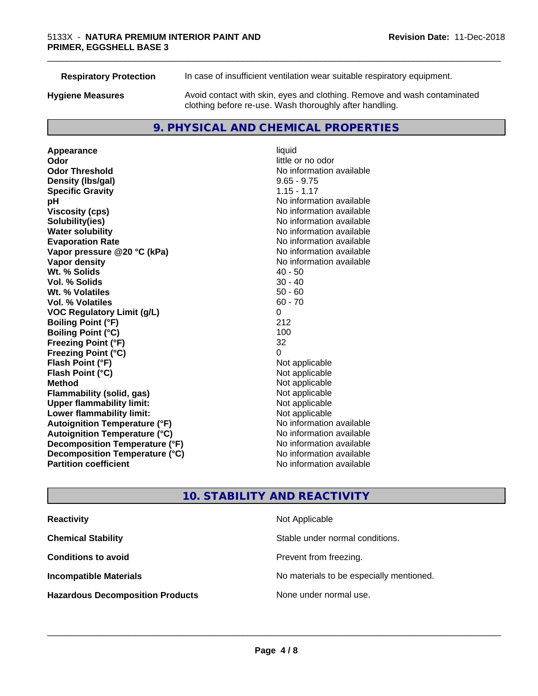| <b>Respiratory Protection</b> | In case of insufficient ventilation wear suitable respiratory equipment.                                                            |
|-------------------------------|-------------------------------------------------------------------------------------------------------------------------------------|
| <b>Hygiene Measures</b>       | Avoid contact with skin, eyes and clothing. Remove and wash contaminated<br>clothing before re-use. Wash thoroughly after handling. |

# **9. PHYSICAL AND CHEMICAL PROPERTIES**

**Appearance** liquid<br> **Appearance** liquid<br> **Odor Odor Odor** little or no odor<br> **Odor Threshold Containery of the Containery of the Containery of the Containery of the Containery of the Containery of the Containery of the Containery of the Containery of the Container Density (Ibs/gal)** 9.65 - 9.75 **Specific Gravity** 1.15 - 1.17 **pH** No information available **Viscosity (cps)** No information available **Solubility(ies)**<br> **Solubility**<br> **Water solubility**<br> **Water solubility Evaporation Rate No information available No information available Vapor pressure @20 °C (kPa)** No information available **Vapor density No information available No** information available **Wt. % Solids** 40 - 50 **Vol. % Solids** 30 - 40 **Wt. % Volatiles Vol. % Volatiles** 60 - 70 **VOC Regulatory Limit (g/L)** 0 **Boiling Point (°F)** 212 **Boiling Point (°C)** 100 **Freezing Point (°F)** 32 **Freezing Point (°C)**<br> **Flash Point (°F)**<br> **Flash Point (°F)**<br> **Point (°F) Flash Point (°F)**<br> **Flash Point (°C)**<br> **Flash Point (°C)**<br> **C Flash Point (°C) Method** Not applicable **Flammability (solid, gas)**<br> **Upper flammability limit:**<br>
Upper flammability limit:<br>
Not applicable **Upper flammability limit: Lower flammability limit:**<br> **Autoignition Temperature (°F)** Not applicable havailable available **Autoignition Temperature (°F) Autoignition Temperature (°C)** No information available **Decomposition Temperature (°F)** No information available **Decomposition Temperature (°C)** No information available **Partition coefficient Contract Contract Contract Contract Contract Contract Contract Contract Contract Contract Contract Contract Contract Contract Contract Contract Contract Contract Contract Contract Contract Contract** 

**No information available No information available** 

\_\_\_\_\_\_\_\_\_\_\_\_\_\_\_\_\_\_\_\_\_\_\_\_\_\_\_\_\_\_\_\_\_\_\_\_\_\_\_\_\_\_\_\_\_\_\_\_\_\_\_\_\_\_\_\_\_\_\_\_\_\_\_\_\_\_\_\_\_\_\_\_\_\_\_\_\_\_\_\_\_\_\_\_\_\_\_\_\_\_\_\_\_

# **10. STABILITY AND REACTIVITY**

| <b>Reactivity</b>                       | Not Applicable                           |
|-----------------------------------------|------------------------------------------|
| <b>Chemical Stability</b>               | Stable under normal conditions.          |
| <b>Conditions to avoid</b>              | Prevent from freezing.                   |
| <b>Incompatible Materials</b>           | No materials to be especially mentioned. |
| <b>Hazardous Decomposition Products</b> | None under normal use.                   |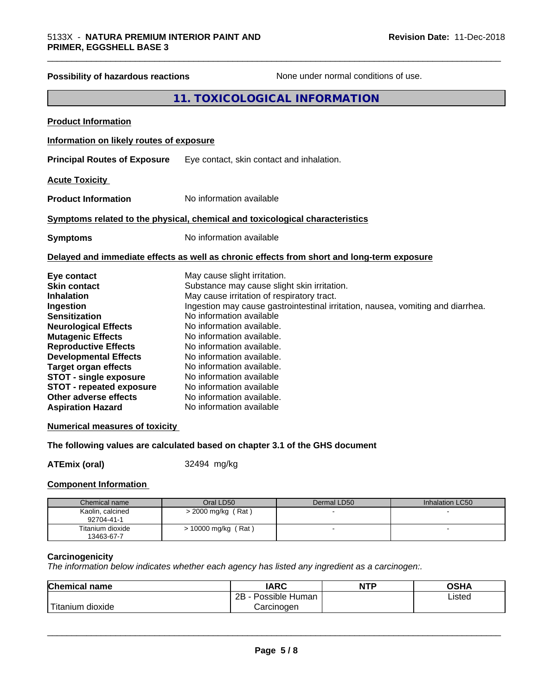# **Possibility of hazardous reactions** None under normal conditions of use. **11. TOXICOLOGICAL INFORMATION Product Information Information on likely routes of exposure Principal Routes of Exposure** Eye contact, skin contact and inhalation. **Acute Toxicity Product Information** No information available **Symptoms related to the physical, chemical and toxicological characteristics Symptoms** No information available **Delayed and immediate effects as well as chronic effects from short and long-term exposure**

| Eye contact                     | May cause slight irritation.                                                    |
|---------------------------------|---------------------------------------------------------------------------------|
| <b>Skin contact</b>             | Substance may cause slight skin irritation.                                     |
| <b>Inhalation</b>               | May cause irritation of respiratory tract.                                      |
| Ingestion                       | Ingestion may cause gastrointestinal irritation, nausea, vomiting and diarrhea. |
| <b>Sensitization</b>            | No information available                                                        |
| <b>Neurological Effects</b>     | No information available.                                                       |
| <b>Mutagenic Effects</b>        | No information available.                                                       |
| <b>Reproductive Effects</b>     | No information available.                                                       |
| <b>Developmental Effects</b>    | No information available.                                                       |
| <b>Target organ effects</b>     | No information available.                                                       |
| <b>STOT - single exposure</b>   | No information available                                                        |
| <b>STOT - repeated exposure</b> | No information available                                                        |
| Other adverse effects           | No information available.                                                       |
| <b>Aspiration Hazard</b>        | No information available                                                        |

\_\_\_\_\_\_\_\_\_\_\_\_\_\_\_\_\_\_\_\_\_\_\_\_\_\_\_\_\_\_\_\_\_\_\_\_\_\_\_\_\_\_\_\_\_\_\_\_\_\_\_\_\_\_\_\_\_\_\_\_\_\_\_\_\_\_\_\_\_\_\_\_\_\_\_\_\_\_\_\_\_\_\_\_\_\_\_\_\_\_\_\_\_

#### **Numerical measures of toxicity**

#### **The following values are calculated based on chapter 3.1 of the GHS document**

**ATEmix (oral)** 32494 mg/kg

#### **Component Information**

| Chemical name                  | Oral LD50                | Dermal LD50 | Inhalation LC50 |
|--------------------------------|--------------------------|-------------|-----------------|
| Kaolin, calcined<br>92704-41-1 | $>$ 2000 mg/kg (Rat)     |             |                 |
| Titanium dioxide<br>13463-67-7 | (Rat)<br>> 10000 mg/kg ( |             |                 |

#### **Carcinogenicity**

*The information below indicateswhether each agency has listed any ingredient as a carcinogen:.*

| <b>Chemical name</b>    | <b>IARC</b>          | <b>NTP</b> | <b>OSHA</b> |
|-------------------------|----------------------|------------|-------------|
|                         | Possible Human<br>2B |            | Listed      |
| ' Titanium<br>m dioxide | Carcinoɑen           |            |             |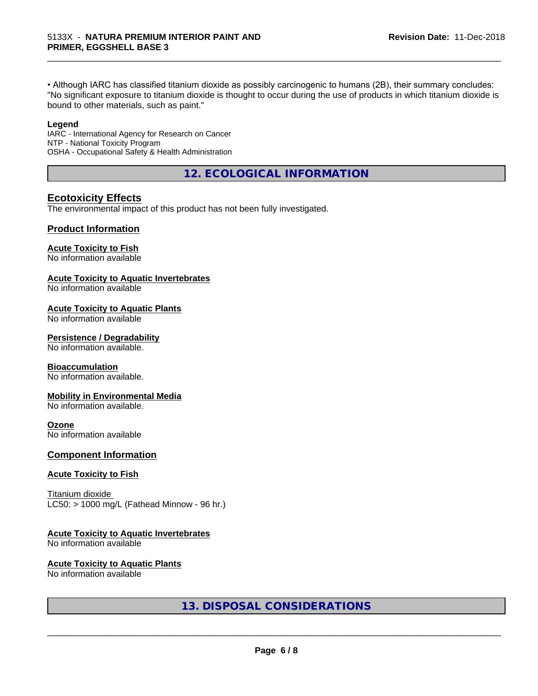• Although IARC has classified titanium dioxide as possibly carcinogenic to humans (2B), their summary concludes: "No significant exposure to titanium dioxide is thought to occur during the use of products in which titanium dioxide is bound to other materials, such as paint."

\_\_\_\_\_\_\_\_\_\_\_\_\_\_\_\_\_\_\_\_\_\_\_\_\_\_\_\_\_\_\_\_\_\_\_\_\_\_\_\_\_\_\_\_\_\_\_\_\_\_\_\_\_\_\_\_\_\_\_\_\_\_\_\_\_\_\_\_\_\_\_\_\_\_\_\_\_\_\_\_\_\_\_\_\_\_\_\_\_\_\_\_\_

#### **Legend**

IARC - International Agency for Research on Cancer NTP - National Toxicity Program OSHA - Occupational Safety & Health Administration

**12. ECOLOGICAL INFORMATION**

## **Ecotoxicity Effects**

The environmental impact of this product has not been fully investigated.

### **Product Information**

#### **Acute Toxicity to Fish**

No information available

#### **Acute Toxicity to Aquatic Invertebrates**

No information available

#### **Acute Toxicity to Aquatic Plants**

No information available

#### **Persistence / Degradability**

No information available.

#### **Bioaccumulation**

No information available.

#### **Mobility in Environmental Media**

No information available.

#### **Ozone**

No information available

#### **Component Information**

#### **Acute Toxicity to Fish**

Titanium dioxide  $LC50:$  > 1000 mg/L (Fathead Minnow - 96 hr.)

## **Acute Toxicity to Aquatic Invertebrates**

No information available

### **Acute Toxicity to Aquatic Plants**

No information available

## **13. DISPOSAL CONSIDERATIONS**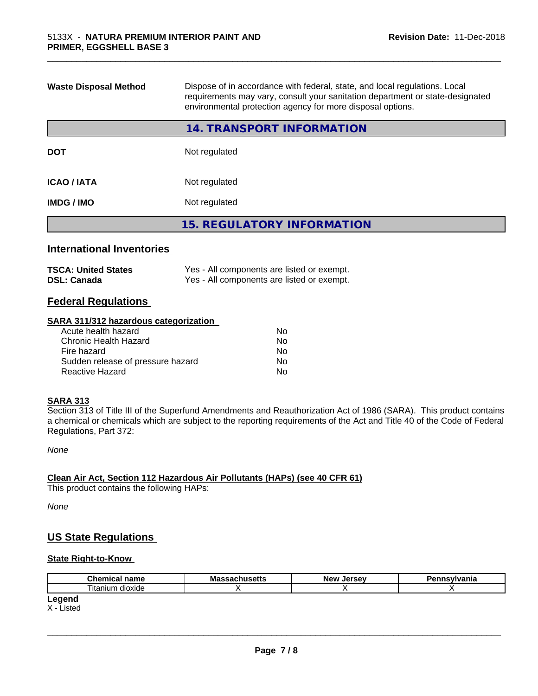| <b>Waste Disposal Method</b>     | Dispose of in accordance with federal, state, and local regulations. Local<br>requirements may vary, consult your sanitation department or state-designated<br>environmental protection agency for more disposal options. |
|----------------------------------|---------------------------------------------------------------------------------------------------------------------------------------------------------------------------------------------------------------------------|
|                                  | 14. TRANSPORT INFORMATION                                                                                                                                                                                                 |
| <b>DOT</b>                       | Not regulated                                                                                                                                                                                                             |
| <b>ICAO/IATA</b>                 | Not regulated                                                                                                                                                                                                             |
| <b>IMDG/IMO</b><br>Not regulated |                                                                                                                                                                                                                           |
|                                  | <b>15. REGULATORY INFORMATION</b>                                                                                                                                                                                         |
|                                  |                                                                                                                                                                                                                           |

\_\_\_\_\_\_\_\_\_\_\_\_\_\_\_\_\_\_\_\_\_\_\_\_\_\_\_\_\_\_\_\_\_\_\_\_\_\_\_\_\_\_\_\_\_\_\_\_\_\_\_\_\_\_\_\_\_\_\_\_\_\_\_\_\_\_\_\_\_\_\_\_\_\_\_\_\_\_\_\_\_\_\_\_\_\_\_\_\_\_\_\_\_

# **International Inventories**

| <b>TSCA: United States</b> | Yes - All components are listed or exempt. |
|----------------------------|--------------------------------------------|
| <b>DSL: Canada</b>         | Yes - All components are listed or exempt. |

## **Federal Regulations**

#### **SARA 311/312 hazardous categorization**

| Acute health hazard               | No. |  |
|-----------------------------------|-----|--|
| Chronic Health Hazard             | No. |  |
| Fire hazard                       | No. |  |
| Sudden release of pressure hazard | Nο  |  |
| Reactive Hazard                   | Nο  |  |

#### **SARA 313**

Section 313 of Title III of the Superfund Amendments and Reauthorization Act of 1986 (SARA). This product contains a chemical or chemicals which are subject to the reporting requirements of the Act and Title 40 of the Code of Federal Regulations, Part 372:

*None*

# **Clean Air Act,Section 112 Hazardous Air Pollutants (HAPs) (see 40 CFR 61)**

This product contains the following HAPs:

*None*

### **US State Regulations**

#### **State Right-to-Know**

X - Listed